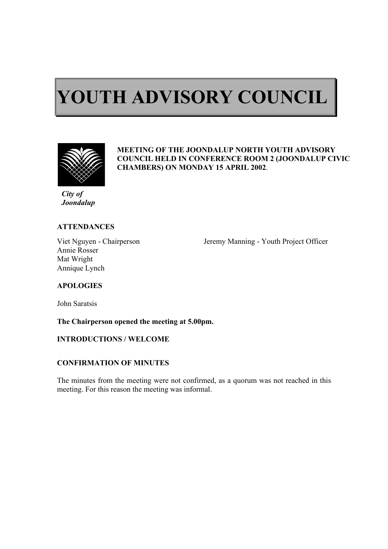# $\overline{a}$ **YOUTH ADVISORY COUNCIL**



ı

#### **MEETING OF THE JOONDALUP NORTH YOUTH ADVISORY COUNCIL HELD IN CONFERENCE ROOM 2 (JOONDALUP CIVIC CHAMBERS) ON MONDAY 15 APRIL 2002**.

*City of Joondalup* 

## **ATTENDANCES**

Annie Rosser Mat Wright Annique Lynch

Viet Nguyen - Chairperson Jeremy Manning - Youth Project Officer

# **APOLOGIES**

John Saratsis

**The Chairperson opened the meeting at 5.00pm.** 

# **INTRODUCTIONS / WELCOME**

# **CONFIRMATION OF MINUTES**

The minutes from the meeting were not confirmed, as a quorum was not reached in this meeting. For this reason the meeting was informal.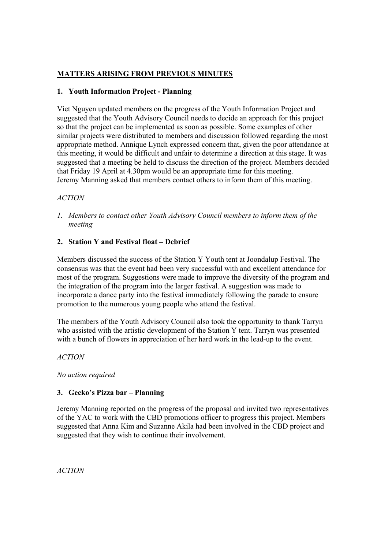# **MATTERS ARISING FROM PREVIOUS MINUTES**

#### **1. Youth Information Project - Planning**

Viet Nguyen updated members on the progress of the Youth Information Project and suggested that the Youth Advisory Council needs to decide an approach for this project so that the project can be implemented as soon as possible. Some examples of other similar projects were distributed to members and discussion followed regarding the most appropriate method. Annique Lynch expressed concern that, given the poor attendance at this meeting, it would be difficult and unfair to determine a direction at this stage. It was suggested that a meeting be held to discuss the direction of the project. Members decided that Friday 19 April at 4.30pm would be an appropriate time for this meeting. Jeremy Manning asked that members contact others to inform them of this meeting.

## *ACTION*

*1. Members to contact other Youth Advisory Council members to inform them of the meeting* 

## **2. Station Y and Festival float – Debrief**

Members discussed the success of the Station Y Youth tent at Joondalup Festival. The consensus was that the event had been very successful with and excellent attendance for most of the program. Suggestions were made to improve the diversity of the program and the integration of the program into the larger festival. A suggestion was made to incorporate a dance party into the festival immediately following the parade to ensure promotion to the numerous young people who attend the festival.

The members of the Youth Advisory Council also took the opportunity to thank Tarryn who assisted with the artistic development of the Station Y tent. Tarryn was presented with a bunch of flowers in appreciation of her hard work in the lead-up to the event.

*ACTION* 

*No action required* 

# **3. Gecko's Pizza bar – Planning**

Jeremy Manning reported on the progress of the proposal and invited two representatives of the YAC to work with the CBD promotions officer to progress this project. Members suggested that Anna Kim and Suzanne Akila had been involved in the CBD project and suggested that they wish to continue their involvement.

*ACTION*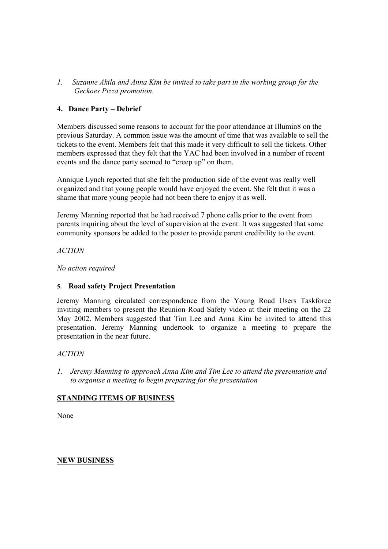*1. Suzanne Akila and Anna Kim be invited to take part in the working group for the Geckoes Pizza promotion.* 

## **4. Dance Party – Debrief**

Members discussed some reasons to account for the poor attendance at Illumin8 on the previous Saturday. A common issue was the amount of time that was available to sell the tickets to the event. Members felt that this made it very difficult to sell the tickets. Other members expressed that they felt that the YAC had been involved in a number of recent events and the dance party seemed to "creep up" on them.

Annique Lynch reported that she felt the production side of the event was really well organized and that young people would have enjoyed the event. She felt that it was a shame that more young people had not been there to enjoy it as well.

Jeremy Manning reported that he had received 7 phone calls prior to the event from parents inquiring about the level of supervision at the event. It was suggested that some community sponsors be added to the poster to provide parent credibility to the event.

*ACTION* 

*No action required* 

#### **5. Road safety Project Presentation**

Jeremy Manning circulated correspondence from the Young Road Users Taskforce inviting members to present the Reunion Road Safety video at their meeting on the 22 May 2002. Members suggested that Tim Lee and Anna Kim be invited to attend this presentation. Jeremy Manning undertook to organize a meeting to prepare the presentation in the near future.

#### *ACTION*

*1. Jeremy Manning to approach Anna Kim and Tim Lee to attend the presentation and to organise a meeting to begin preparing for the presentation* 

# **STANDING ITEMS OF BUSINESS**

None

# **NEW BUSINESS**